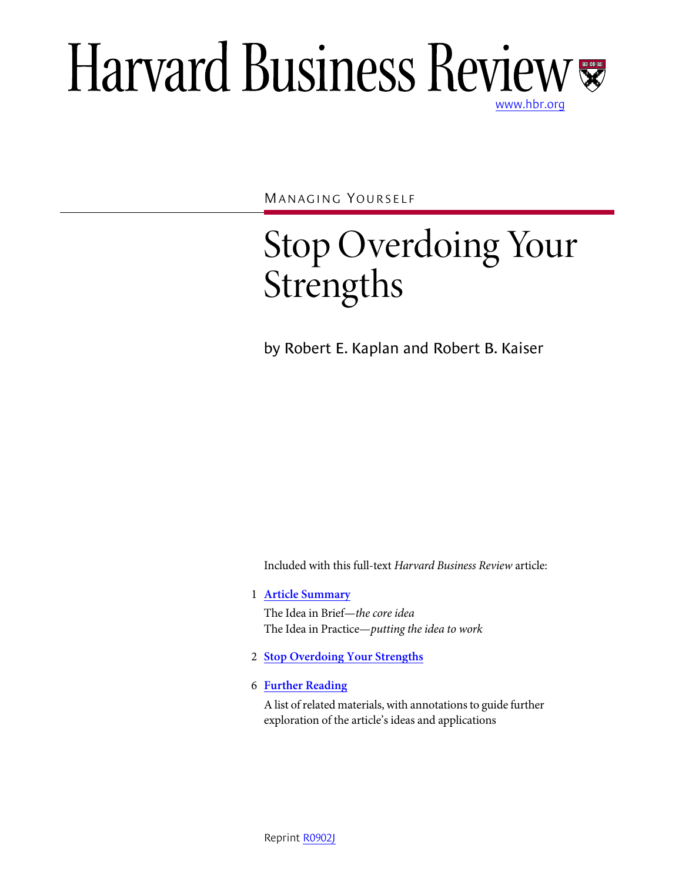# Harvard Business Review [www.hbr.org](http://www.hbr.org)

MANAGING YOURSELF

# Stop Overdoing Your Strengths

by Robert E. Kaplan and Robert B. Kaiser

Included with this full-text *Harvard Business Review* article:

1 **Article Summary**

The Idea in Brief—*the core idea* The Idea in Practice—*putting the idea to work*

- 2 **Stop Overdoing Your Strengths**
- 6 **Further Reading**

A list of related materials, with annotations to guide further exploration of the article's ideas and applications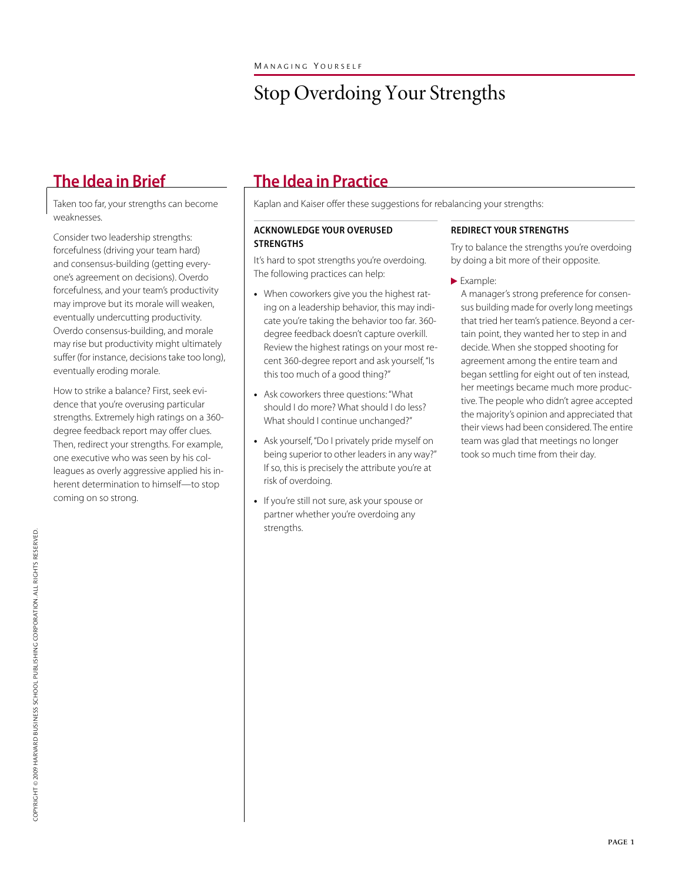## Stop Overdoing Your Strengths

Taken too far, your strengths can become weaknesses.

Consider two leadership strengths: forcefulness (driving your team hard) and consensus-building (getting everyone's agreement on decisions). Overdo forcefulness, and your team's productivity may improve but its morale will weaken, eventually undercutting productivity. Overdo consensus-building, and morale may rise but productivity might ultimately suffer (for instance, decisions take too long), eventually eroding morale.

How to strike a balance? First, seek evidence that you're overusing particular strengths. Extremely high ratings on a 360 degree feedback report may offer clues. Then, redirect your strengths. For example, one executive who was seen by his colleagues as overly aggressive applied his inherent determination to himself—to stop coming on so strong.

### **The Idea in Brief The Idea in Practice**

Kaplan and Kaiser offer these suggestions for rebalancing your strengths:

### **ACKNOWLEDGE YOUR OVERUSED STRENGTHS**

It's hard to spot strengths you're overdoing. The following practices can help:

- **•** When coworkers give you the highest rating on a leadership behavior, this may indicate you're taking the behavior too far. 360 degree feedback doesn't capture overkill. Review the highest ratings on your most recent 360-degree report and ask yourself, "Is this too much of a good thing?"
- **•** Ask coworkers three questions: "What should I do more? What should I do less? What should I continue unchanged?"
- **•** Ask yourself, "Do I privately pride myself on being superior to other leaders in any way?" If so, this is precisely the attribute you're at risk of overdoing.
- **•** If you're still not sure, ask your spouse or partner whether you're overdoing any strengths.

### **REDIRECT YOUR STRENGTHS**

Try to balance the strengths you're overdoing by doing a bit more of their opposite.

Example:

A manager's strong preference for consensus building made for overly long meetings that tried her team's patience. Beyond a certain point, they wanted her to step in and decide. When she stopped shooting for agreement among the entire team and began settling for eight out of ten instead, her meetings became much more productive. The people who didn't agree accepted the majority's opinion and appreciated that their views had been considered. The entire team was glad that meetings no longer took so much time from their day.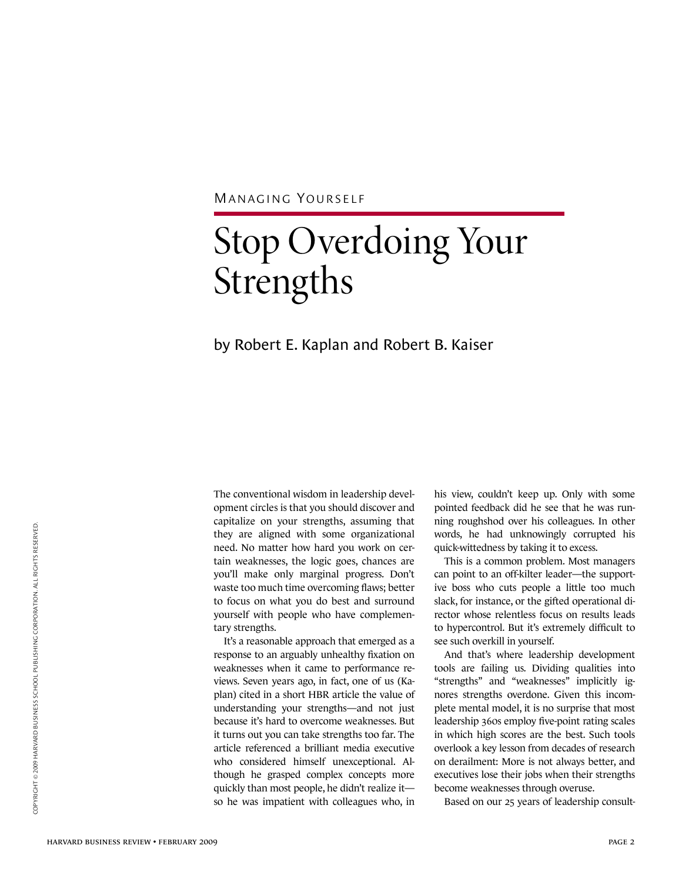MANAGING YOURSELF

# Stop Overdoing Your Strengths

### by Robert E. Kaplan and Robert B. Kaiser

The conventional wisdom in leadership development circles is that you should discover and capitalize on your strengths, assuming that they are aligned with some organizational need. No matter how hard you work on certain weaknesses, the logic goes, chances are you'll make only marginal progress. Don't waste too much time overcoming flaws; better to focus on what you do best and surround yourself with people who have complementary strengths.

It's a reasonable approach that emerged as a response to an arguably unhealthy fixation on weaknesses when it came to performance reviews. Seven years ago, in fact, one of us (Kaplan) cited in a short HBR article the value of understanding your strengths—and not just because it's hard to overcome weaknesses. But it turns out you can take strengths too far. The article referenced a brilliant media executive who considered himself unexceptional. Although he grasped complex concepts more quickly than most people, he didn't realize it so he was impatient with colleagues who, in

his view, couldn't keep up. Only with some pointed feedback did he see that he was running roughshod over his colleagues. In other words, he had unknowingly corrupted his quick-wittedness by taking it to excess.

This is a common problem. Most managers can point to an off-kilter leader—the supportive boss who cuts people a little too much slack, for instance, or the gifted operational director whose relentless focus on results leads to hypercontrol. But it's extremely difficult to see such overkill in yourself.

And that's where leadership development tools are failing us. Dividing qualities into "strengths" and "weaknesses" implicitly ignores strengths overdone. Given this incomplete mental model, it is no surprise that most leadership 360s employ five-point rating scales in which high scores are the best. Such tools overlook a key lesson from decades of research on derailment: More is not always better, and executives lose their jobs when their strengths become weaknesses through overuse.

Based on our 25 years of leadership consult-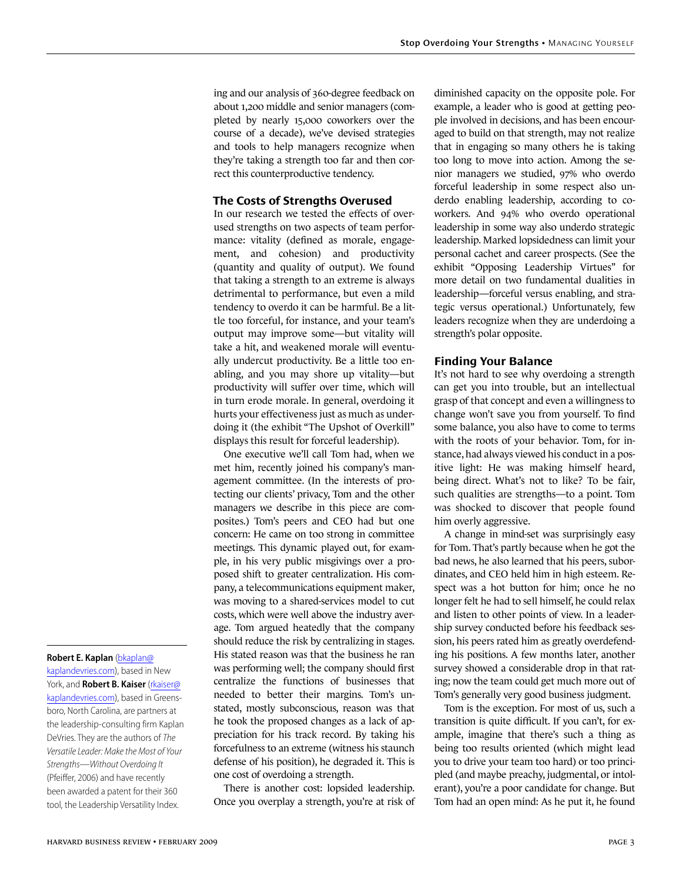ing and our analysis of 360-degree feedback on about 1,200 middle and senior managers (completed by nearly 15,000 coworkers over the course of a decade), we've devised strategies and tools to help managers recognize when they're taking a strength too far and then correct this counterproductive tendency.

### **The Costs of Strengths Overused**

In our research we tested the effects of overused strengths on two aspects of team performance: vitality (defined as morale, engagement, and cohesion) and productivity (quantity and quality of output). We found that taking a strength to an extreme is always detrimental to performance, but even a mild tendency to overdo it can be harmful. Be a little too forceful, for instance, and your team's output may improve some—but vitality will take a hit, and weakened morale will eventually undercut productivity. Be a little too enabling, and you may shore up vitality—but productivity will suffer over time, which will in turn erode morale. In general, overdoing it hurts your effectiveness just as much as underdoing it (the exhibit "The Upshot of Overkill" displays this result for forceful leadership).

One executive we'll call Tom had, when we met him, recently joined his company's management committee. (In the interests of protecting our clients' privacy, Tom and the other managers we describe in this piece are composites.) Tom's peers and CEO had but one concern: He came on too strong in committee meetings. This dynamic played out, for example, in his very public misgivings over a proposed shift to greater centralization. His company, a telecommunications equipment maker, was moving to a shared-services model to cut costs, which were well above the industry average. Tom argued heatedly that the company should reduce the risk by centralizing in stages. His stated reason was that the business he ran was performing well; the company should first centralize the functions of businesses that needed to better their margins. Tom's unstated, mostly subconscious, reason was that he took the proposed changes as a lack of appreciation for his track record. By taking his forcefulness to an extreme (witness his staunch defense of his position), he degraded it. This is one cost of overdoing a strength.

There is another cost: lopsided leadership. Once you overplay a strength, you're at risk of diminished capacity on the opposite pole. For example, a leader who is good at getting people involved in decisions, and has been encouraged to build on that strength, may not realize that in engaging so many others he is taking too long to move into action. Among the senior managers we studied, 97% who overdo forceful leadership in some respect also underdo enabling leadership, according to coworkers. And 94% who overdo operational leadership in some way also underdo strategic leadership. Marked lopsidedness can limit your personal cachet and career prospects. (See the exhibit "Opposing Leadership Virtues" for more detail on two fundamental dualities in leadership—forceful versus enabling, and strategic versus operational.) Unfortunately, few leaders recognize when they are underdoing a strength's polar opposite.

#### **Finding Your Balance**

It's not hard to see why overdoing a strength can get you into trouble, but an intellectual grasp of that concept and even a willingness to change won't save you from yourself. To find some balance, you also have to come to terms with the roots of your behavior. Tom, for instance, had always viewed his conduct in a positive light: He was making himself heard, being direct. What's not to like? To be fair, such qualities are strengths—to a point. Tom was shocked to discover that people found him overly aggressive.

A change in mind-set was surprisingly easy for Tom. That's partly because when he got the bad news, he also learned that his peers, subordinates, and CEO held him in high esteem. Respect was a hot button for him; once he no longer felt he had to sell himself, he could relax and listen to other points of view. In a leadership survey conducted before his feedback session, his peers rated him as greatly overdefending his positions. A few months later, another survey showed a considerable drop in that rating; now the team could get much more out of Tom's generally very good business judgment.

Tom is the exception. For most of us, such a transition is quite difficult. If you can't, for example, imagine that there's such a thing as being too results oriented (which might lead you to drive your team too hard) or too principled (and maybe preachy, judgmental, or intolerant), you're a poor candidate for change. But Tom had an open mind: As he put it, he found

#### **Robert E. Kaplan** ([bkaplan@](mailto:bkaplan@kaplandevries.com)

[kaplandevries.com](mailto:bkaplan@kaplandevries.com)), based in New York, and **Robert B. Kaiser** [\(rkaiser@](mailto:rkaiser@kaplandevries.com) [kaplandevries.com](mailto:rkaiser@kaplandevries.com)), based in Greensboro, North Carolina, are partners at the leadership-consulting firm Kaplan DeVries. They are the authors of The Versatile Leader: Make the Most of Your Strengths—Without Overdoing It (Pfeiffer, 2006) and have recently been awarded a patent for their 360 tool, the Leadership Versatility Index.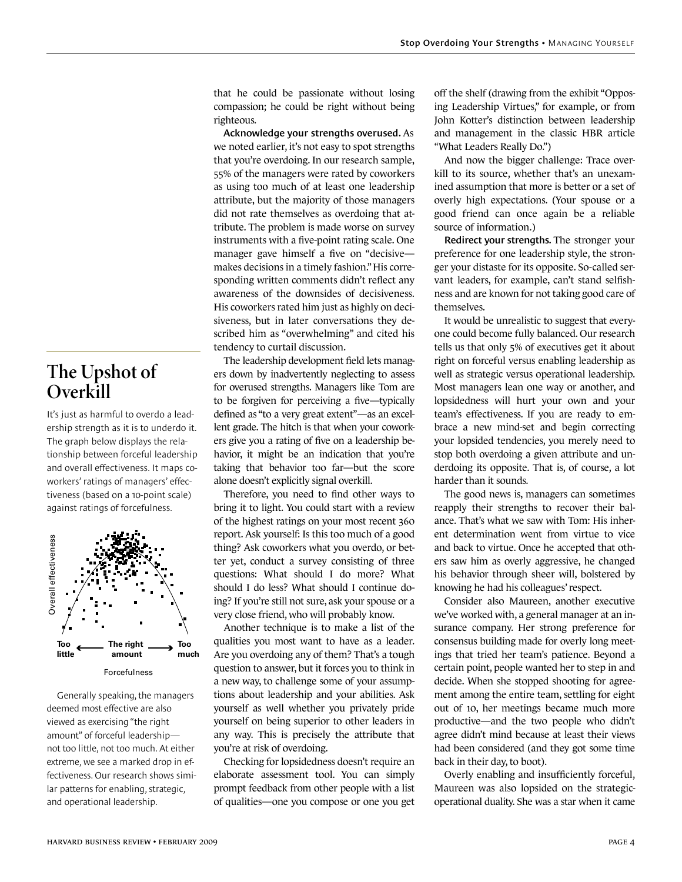**The Upshot of Overkill**

It's just as harmful to overdo a leadership strength as it is to underdo it. The graph below displays the relationship between forceful leadership and overall effectiveness. It maps coworkers' ratings of managers' effectiveness (based on a 10-point scale) against ratings of forcefulness.



Generally speaking, the managers deemed most effective are also viewed as exercising "the right amount" of forceful leadership not too little, not too much. At either extreme, we see a marked drop in effectiveness. Our research shows similar patterns for enabling, strategic,

that he could be passionate without losing compassion; he could be right without being righteous.

**Acknowledge your strengths overused.** As we noted earlier, it's not easy to spot strengths that you're overdoing. In our research sample, 55% of the managers were rated by coworkers as using too much of at least one leadership attribute, but the majority of those managers did not rate themselves as overdoing that attribute. The problem is made worse on survey instruments with a five-point rating scale. One manager gave himself a five on "decisive makes decisions in a timely fashion." His corresponding written comments didn't reflect any awareness of the downsides of decisiveness. His coworkers rated him just as highly on decisiveness, but in later conversations they described him as "overwhelming" and cited his tendency to curtail discussion.

The leadership development field lets managers down by inadvertently neglecting to assess for overused strengths. Managers like Tom are to be forgiven for perceiving a five—typically defined as "to a very great extent"—as an excellent grade. The hitch is that when your coworkers give you a rating of five on a leadership behavior, it might be an indication that you're taking that behavior too far—but the score alone doesn't explicitly signal overkill.

Therefore, you need to find other ways to bring it to light. You could start with a review of the highest ratings on your most recent 360 report. Ask yourself: Is this too much of a good thing? Ask coworkers what you overdo, or better yet, conduct a survey consisting of three questions: What should I do more? What should I do less? What should I continue doing? If you're still not sure, ask your spouse or a very close friend, who will probably know.

Another technique is to make a list of the qualities you most want to have as a leader. Are you overdoing any of them? That's a tough question to answer, but it forces you to think in a new way, to challenge some of your assumptions about leadership and your abilities. Ask yourself as well whether you privately pride yourself on being superior to other leaders in any way. This is precisely the attribute that you're at risk of overdoing.

Checking for lopsidedness doesn't require an elaborate assessment tool. You can simply prompt feedback from other people with a list of qualities—one you compose or one you get off the shelf (drawing from the exhibit "Opposing Leadership Virtues," for example, or from John Kotter's distinction between leadership and management in the classic HBR article "What Leaders Really Do.")

And now the bigger challenge: Trace overkill to its source, whether that's an unexamined assumption that more is better or a set of overly high expectations. (Your spouse or a good friend can once again be a reliable source of information.)

**Redirect your strengths.** The stronger your preference for one leadership style, the stronger your distaste for its opposite. So-called servant leaders, for example, can't stand selfishness and are known for not taking good care of themselves.

It would be unrealistic to suggest that everyone could become fully balanced. Our research tells us that only 5% of executives get it about right on forceful versus enabling leadership as well as strategic versus operational leadership. Most managers lean one way or another, and lopsidedness will hurt your own and your team's effectiveness. If you are ready to embrace a new mind-set and begin correcting your lopsided tendencies, you merely need to stop both overdoing a given attribute and underdoing its opposite. That is, of course, a lot harder than it sounds.

The good news is, managers can sometimes reapply their strengths to recover their balance. That's what we saw with Tom: His inherent determination went from virtue to vice and back to virtue. Once he accepted that others saw him as overly aggressive, he changed his behavior through sheer will, bolstered by knowing he had his colleagues' respect.

Consider also Maureen, another executive we've worked with, a general manager at an insurance company. Her strong preference for consensus building made for overly long meetings that tried her team's patience. Beyond a certain point, people wanted her to step in and decide. When she stopped shooting for agreement among the entire team, settling for eight out of 10, her meetings became much more productive—and the two people who didn't agree didn't mind because at least their views had been considered (and they got some time back in their day, to boot).

Overly enabling and insufficiently forceful, Maureen was also lopsided on the strategicoperational duality. She was a star when it came